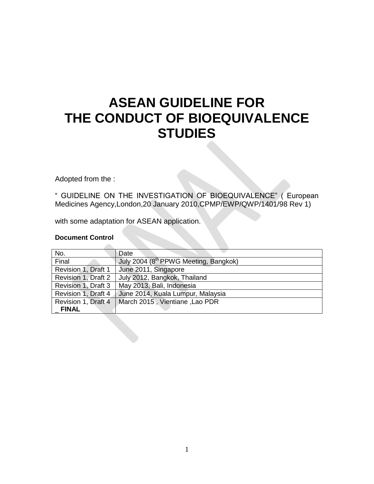# **ASEAN GUIDELINE FOR THE CONDUCT OF BIOEQUIVALENCE STUDIES**

Adopted from the :

" GUIDELINE ON THE INVESTIGATION OF BIOEQUIVALENCE" ( European Medicines Agency,London,20 January 2010,CPMP/EWP/QWP/1401/98 Rev 1)

with some adaptation for ASEAN application.

 $\mathcal{L}$ 

#### **Document Control**

| No.                 | Date                                              |
|---------------------|---------------------------------------------------|
| Final               | July 2004 (8 <sup>th</sup> PPWG Meeting, Bangkok) |
| Revision 1, Draft 1 | June 2011, Singapore                              |
| Revision 1, Draft 2 | July 2012, Bangkok, Thailand                      |
| Revision 1, Draft 3 | May 2013, Bali, Indonesia                         |
| Revision 1, Draft 4 | June 2014, Kuala Lumpur, Malaysia                 |
| Revision 1, Draft 4 | March 2015, Vientiane, Lao PDR                    |
| <b>FINAL</b>        |                                                   |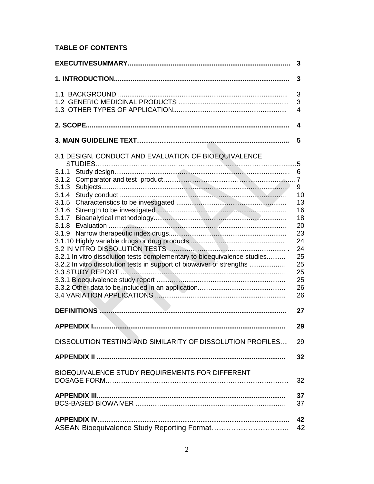# **TABLE OF CONTENTS**

|                                                                                                                                                                                                                                                                                   | 3                                                                                          |
|-----------------------------------------------------------------------------------------------------------------------------------------------------------------------------------------------------------------------------------------------------------------------------------|--------------------------------------------------------------------------------------------|
|                                                                                                                                                                                                                                                                                   | 3                                                                                          |
|                                                                                                                                                                                                                                                                                   | 3<br>3<br>4                                                                                |
|                                                                                                                                                                                                                                                                                   | 4                                                                                          |
|                                                                                                                                                                                                                                                                                   | 5                                                                                          |
| 3.1 DESIGN, CONDUCT AND EVALUATION OF BIOEQUIVALENCE<br>3.1.1<br>3.1.2<br>3.1.3<br>3.1.4<br>3.1.5<br>3.1.6<br>3.1.7<br>3.1.8<br>3.2.1 In vitro dissolution tests complementary to bioequivalence studies<br>3.2.2 In vitro dissolution tests in support of biowaiver of strengths | 6<br>9<br>10<br>13<br>16<br>18<br>20<br>23<br>24<br>24<br>25<br>25<br>25<br>25<br>26<br>26 |
|                                                                                                                                                                                                                                                                                   | 27                                                                                         |
|                                                                                                                                                                                                                                                                                   | 29                                                                                         |
| DISSOLUTION TESTING AND SIMILARITY OF DISSOLUTION PROFILES                                                                                                                                                                                                                        | 29                                                                                         |
|                                                                                                                                                                                                                                                                                   | 32                                                                                         |
| BIOEQUIVALENCE STUDY REQUIREMENTS FOR DIFFERENT                                                                                                                                                                                                                                   | 32                                                                                         |
|                                                                                                                                                                                                                                                                                   | 37<br>37                                                                                   |
|                                                                                                                                                                                                                                                                                   | 42<br>42                                                                                   |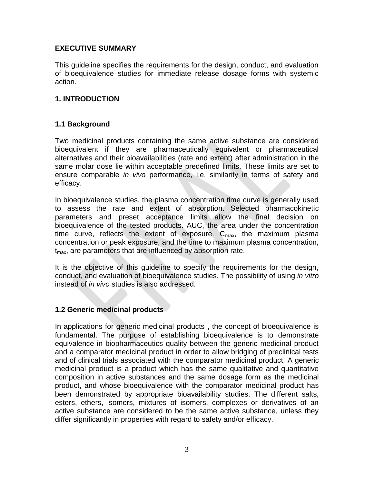## **EXECUTIVE SUMMARY**

This guideline specifies the requirements for the design, conduct, and evaluation of bioequivalence studies for immediate release dosage forms with systemic action.

## **1. INTRODUCTION**

## **1.1 Background**

Two medicinal products containing the same active substance are considered bioequivalent if they are pharmaceutically equivalent or pharmaceutical alternatives and their bioavailabilities (rate and extent) after administration in the same molar dose lie within acceptable predefined limits. These limits are set to ensure comparable *in vivo* performance, i.e. similarity in terms of safety and efficacy.

In bioequivalence studies, the plasma concentration time curve is generally used to assess the rate and extent of absorption. Selected pharmacokinetic parameters and preset acceptance limits allow the final decision on bioequivalence of the tested products. AUC, the area under the concentration time curve, reflects the extent of exposure.  $C_{\text{max}}$ , the maximum plasma concentration or peak exposure, and the time to maximum plasma concentration,  $t_{\text{max}}$ , are parameters that are influenced by absorption rate.

It is the objective of this guideline to specify the requirements for the design, conduct, and evaluation of bioequivalence studies. The possibility of using *in vitro*  instead of *in vivo* studies is also addressed.

## **1.2 Generic medicinal products**

In applications for generic medicinal products , the concept of bioequivalence is fundamental. The purpose of establishing bioequivalence is to demonstrate equivalence in biopharmaceutics quality between the generic medicinal product and a comparator medicinal product in order to allow bridging of preclinical tests and of clinical trials associated with the comparator medicinal product. A generic medicinal product is a product which has the same qualitative and quantitative composition in active substances and the same dosage form as the medicinal product, and whose bioequivalence with the comparator medicinal product has been demonstrated by appropriate bioavailability studies. The different salts, esters, ethers, isomers, mixtures of isomers, complexes or derivatives of an active substance are considered to be the same active substance, unless they differ significantly in properties with regard to safety and/or efficacy.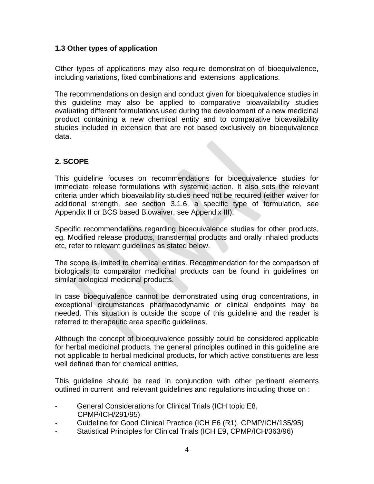## **1.3 Other types of application**

Other types of applications may also require demonstration of bioequivalence, including variations, fixed combinations and extensions applications.

The recommendations on design and conduct given for bioequivalence studies in this guideline may also be applied to comparative bioavailability studies evaluating different formulations used during the development of a new medicinal product containing a new chemical entity and to comparative bioavailability studies included in extension that are not based exclusively on bioequivalence data.

# **2. SCOPE**

This guideline focuses on recommendations for bioequivalence studies for immediate release formulations with systemic action. It also sets the relevant criteria under which bioavailability studies need not be required (either waiver for additional strength, see section 3.1.6, a specific type of formulation, see Appendix II or BCS based Biowaiver, see Appendix III).

Specific recommendations regarding bioequivalence studies for other products, eg. Modified release products, transdermal products and orally inhaled products etc, refer to relevant guidelines as stated below.

The scope is limited to chemical entities. Recommendation for the comparison of biologicals to comparator medicinal products can be found in guidelines on similar biological medicinal products.

In case bioequivalence cannot be demonstrated using drug concentrations, in exceptional circumstances pharmacodynamic or clinical endpoints may be needed. This situation is outside the scope of this guideline and the reader is referred to therapeutic area specific guidelines.

Although the concept of bioequivalence possibly could be considered applicable for herbal medicinal products, the general principles outlined in this guideline are not applicable to herbal medicinal products, for which active constituents are less well defined than for chemical entities.

This guideline should be read in conjunction with other pertinent elements outlined in current and relevant guidelines and regulations including those on :

- General Considerations for Clinical Trials (ICH topic E8, CPMP/ICH/291/95)
- Guideline for Good Clinical Practice (ICH E6 (R1), CPMP/ICH/135/95)
- Statistical Principles for Clinical Trials (ICH E9, CPMP/ICH/363/96)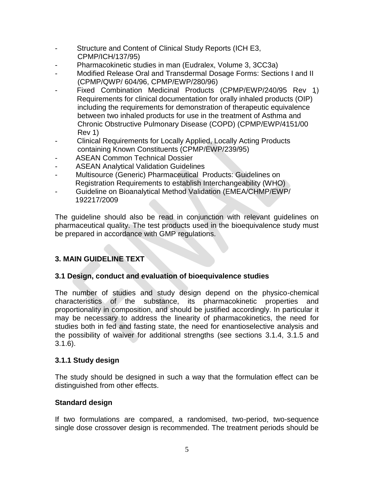- Structure and Content of Clinical Study Reports (ICH E3, CPMP/ICH/137/95)
- Pharmacokinetic studies in man (Eudralex, Volume 3, 3CC3a)
- Modified Release Oral and Transdermal Dosage Forms: Sections I and II (CPMP/QWP/ 604/96, CPMP/EWP/280/96)
- Fixed Combination Medicinal Products (CPMP/EWP/240/95 Rev 1) Requirements for clinical documentation for orally inhaled products (OIP) including the requirements for demonstration of therapeutic equivalence between two inhaled products for use in the treatment of Asthma and Chronic Obstructive Pulmonary Disease (COPD) (CPMP/EWP/4151/00 Rev 1)
- Clinical Requirements for Locally Applied, Locally Acting Products containing Known Constituents (CPMP/EWP/239/95)
- ASEAN Common Technical Dossier
- ASEAN Analytical Validation Guidelines
- Multisource (Generic) Pharmaceutical Products: Guidelines on Registration Requirements to establish Interchangeability (WHO)
- Guideline on Bioanalytical Method Validation (EMEA/CHMP/EWP/ 192217/2009

The guideline should also be read in conjunction with relevant guidelines on pharmaceutical quality. The test products used in the bioequivalence study must be prepared in accordance with GMP regulations.

# **3. MAIN GUIDELINE TEXT**

# **3.1 Design, conduct and evaluation of bioequivalence studies**

The number of studies and study design depend on the physico-chemical characteristics of the substance, its pharmacokinetic properties and proportionality in composition, and should be justified accordingly. In particular it may be necessary to address the linearity of pharmacokinetics, the need for studies both in fed and fasting state, the need for enantioselective analysis and the possibility of waiver for additional strengths (see sections 3.1.4, 3.1.5 and 3.1.6).

## **3.1.1 Study design**

The study should be designed in such a way that the formulation effect can be distinguished from other effects.

## **Standard design**

If two formulations are compared, a randomised, two-period, two-sequence single dose crossover design is recommended. The treatment periods should be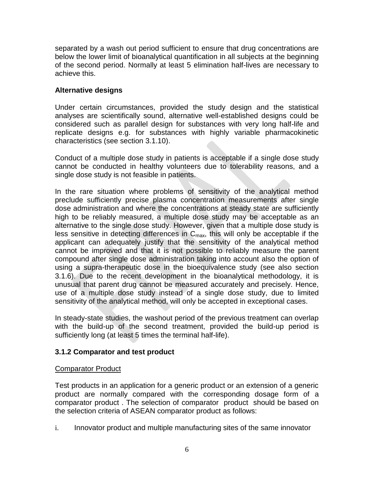separated by a wash out period sufficient to ensure that drug concentrations are below the lower limit of bioanalytical quantification in all subjects at the beginning of the second period. Normally at least 5 elimination half-lives are necessary to achieve this.

## **Alternative designs**

Under certain circumstances, provided the study design and the statistical analyses are scientifically sound, alternative well-established designs could be considered such as parallel design for substances with very long half-life and replicate designs e.g. for substances with highly variable pharmacokinetic characteristics (see section 3.1.10).

Conduct of a multiple dose study in patients is acceptable if a single dose study cannot be conducted in healthy volunteers due to tolerability reasons, and a single dose study is not feasible in patients.

In the rare situation where problems of sensitivity of the analytical method preclude sufficiently precise plasma concentration measurements after single dose administration and where the concentrations at steady state are sufficiently high to be reliably measured, a multiple dose study may be acceptable as an alternative to the single dose study. However, given that a multiple dose study is less sensitive in detecting differences in  $C_{\text{max}}$ , this will only be acceptable if the applicant can adequately justify that the sensitivity of the analytical method cannot be improved and that it is not possible to reliably measure the parent compound after single dose administration taking into account also the option of using a supra-therapeutic dose in the bioequivalence study (see also section 3.1.6). Due to the recent development in the bioanalytical methodology, it is unusual that parent drug cannot be measured accurately and precisely. Hence, use of a multiple dose study instead of a single dose study, due to limited sensitivity of the analytical method, will only be accepted in exceptional cases.

In steady-state studies, the washout period of the previous treatment can overlap with the build-up of the second treatment, provided the build-up period is sufficiently long (at least 5 times the terminal half-life).

# **3.1.2 Comparator and test product**

## Comparator Product

Test products in an application for a generic product or an extension of a generic product are normally compared with the corresponding dosage form of a comparator product . The selection of comparator product should be based on the selection criteria of ASEAN comparator product as follows:

i. Innovator product and multiple manufacturing sites of the same innovator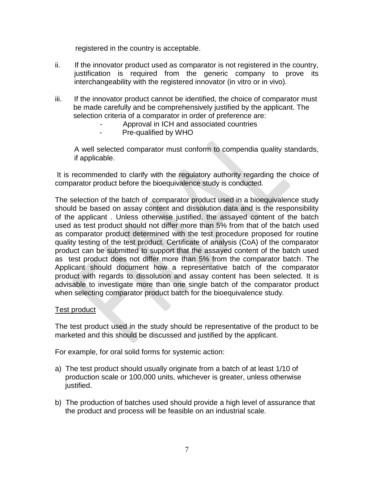registered in the country is acceptable.

- ii. If the innovator product used as comparator is not registered in the country, justification is required from the generic company to prove its interchangeability with the registered innovator (in vitro or in vivo).
- iii. If the innovator product cannot be identified, the choice of comparator must be made carefully and be comprehensively justified by the applicant. The selection criteria of a comparator in order of preference are:
	- Approval in ICH and associated countries
	- Pre-qualified by WHO

A well selected comparator must conform to compendia quality standards, if applicable.

It is recommended to clarify with the regulatory authority regarding the choice of comparator product before the bioequivalence study is conducted.

The selection of the batch of comparator product used in a bioequivalence study should be based on assay content and dissolution data and is the responsibility of the applicant . Unless otherwise justified, the assayed content of the batch used as test product should not differ more than 5% from that of the batch used as comparator product determined with the test procedure proposed for routine quality testing of the test product. Certificate of analysis (CoA) of the comparator product can be submitted to support that the assayed content of the batch used as test product does not differ more than 5% from the comparator batch. The Applicant should document how a representative batch of the comparator product with regards to dissolution and assay content has been selected. It is advisable to investigate more than one single batch of the comparator product when selecting comparator product batch for the bioequivalence study.

## Test product

The test product used in the study should be representative of the product to be marketed and this should be discussed and justified by the applicant.

For example, for oral solid forms for systemic action:

- a) The test product should usually originate from a batch of at least 1/10 of production scale or 100,000 units, whichever is greater, unless otherwise justified.
- b) The production of batches used should provide a high level of assurance that the product and process will be feasible on an industrial scale.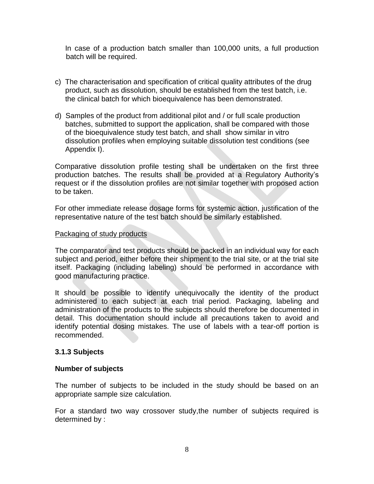In case of a production batch smaller than 100,000 units, a full production batch will be required.

- c) The characterisation and specification of critical quality attributes of the drug product, such as dissolution, should be established from the test batch, i.e. the clinical batch for which bioequivalence has been demonstrated.
- d) Samples of the product from additional pilot and / or full scale production batches, submitted to support the application, shall be compared with those of the bioequivalence study test batch, and shall show similar in vitro dissolution profiles when employing suitable dissolution test conditions (see Appendix I).

Comparative dissolution profile testing shall be undertaken on the first three production batches. The results shall be provided at a Regulatory Authority"s request or if the dissolution profiles are not similar together with proposed action to be taken.

For other immediate release dosage forms for systemic action, justification of the representative nature of the test batch should be similarly established.

#### Packaging of study products

The comparator and test products should be packed in an individual way for each subject and period, either before their shipment to the trial site, or at the trial site itself. Packaging (including labeling) should be performed in accordance with good manufacturing practice.

It should be possible to identify unequivocally the identity of the product administered to each subject at each trial period. Packaging, labeling and administration of the products to the subjects should therefore be documented in detail. This documentation should include all precautions taken to avoid and identify potential dosing mistakes. The use of labels with a tear-off portion is recommended.

## **3.1.3 Subjects**

#### **Number of subjects**

The number of subjects to be included in the study should be based on an appropriate sample size calculation.

For a standard two way crossover study,the number of subjects required is determined by :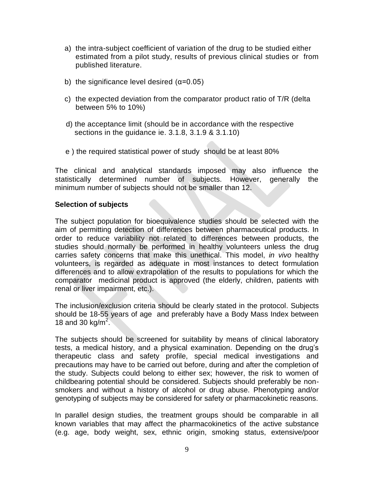- a) the intra-subject coefficient of variation of the drug to be studied either estimated from a pilot study, results of previous clinical studies or from published literature.
- b) the significance level desired  $(\alpha=0.05)$
- c) the expected deviation from the comparator product ratio of T/R (delta between 5% to 10%)
- d) the acceptance limit (should be in accordance with the respective sections in the guidance ie. 3.1.8, 3.1.9 & 3.1.10)
- e ) the required statistical power of study should be at least 80%

The clinical and analytical standards imposed may also influence the statistically determined number of subjects. However, generally the minimum number of subjects should not be smaller than 12.

#### **Selection of subjects**

The subject population for bioequivalence studies should be selected with the aim of permitting detection of differences between pharmaceutical products. In order to reduce variability not related to differences between products, the studies should normally be performed in healthy volunteers unless the drug carries safety concerns that make this unethical. This model, *in vivo* healthy volunteers, is regarded as adequate in most instances to detect formulation differences and to allow extrapolation of the results to populations for which the comparator medicinal product is approved (the elderly, children, patients with renal or liver impairment, etc.).

The inclusion/exclusion criteria should be clearly stated in the protocol. Subjects should be 18-55 years of age and preferably have a Body Mass Index between 18 and 30  $kg/m<sup>2</sup>$ .

The subjects should be screened for suitability by means of clinical laboratory tests, a medical history, and a physical examination. Depending on the drug"s therapeutic class and safety profile, special medical investigations and precautions may have to be carried out before, during and after the completion of the study. Subjects could belong to either sex; however, the risk to women of childbearing potential should be considered. Subjects should preferably be nonsmokers and without a history of alcohol or drug abuse. Phenotyping and/or genotyping of subjects may be considered for safety or pharmacokinetic reasons.

In parallel design studies, the treatment groups should be comparable in all known variables that may affect the pharmacokinetics of the active substance (e.g. age, body weight, sex, ethnic origin, smoking status, extensive/poor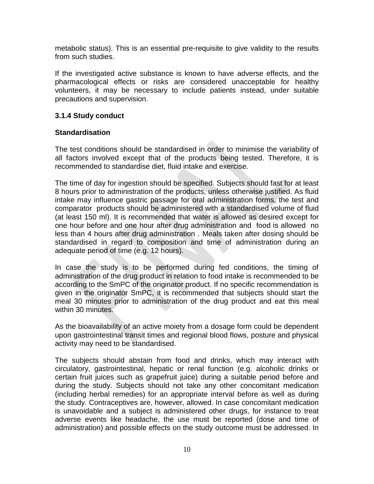metabolic status). This is an essential pre-requisite to give validity to the results from such studies.

If the investigated active substance is known to have adverse effects, and the pharmacological effects or risks are considered unacceptable for healthy volunteers, it may be necessary to include patients instead, under suitable precautions and supervision.

## **3.1.4 Study conduct**

## **Standardisation**

The test conditions should be standardised in order to minimise the variability of all factors involved except that of the products being tested. Therefore, it is recommended to standardise diet, fluid intake and exercise.

The time of day for ingestion should be specified. Subjects should fast for at least 8 hours prior to administration of the products, unless otherwise justified. As fluid intake may influence gastric passage for oral administration forms, the test and comparator products should be administered with a standardised volume of fluid (at least 150 ml). It is recommended that water is allowed as desired except for one hour before and one hour after drug administration and food is allowed no less than 4 hours after drug administration . Meals taken after dosing should be standardised in regard to composition and time of administration during an adequate period of time (e.g. 12 hours).

In case the study is to be performed during fed conditions, the timing of administration of the drug product in relation to food intake is recommended to be according to the SmPC of the originator product. If no specific recommendation is given in the originator SmPC, it is recommended that subjects should start the meal 30 minutes prior to administration of the drug product and eat this meal within 30 minutes.

As the bioavailability of an active moiety from a dosage form could be dependent upon gastrointestinal transit times and regional blood flows, posture and physical activity may need to be standardised.

The subjects should abstain from food and drinks, which may interact with circulatory, gastrointestinal, hepatic or renal function (e.g. alcoholic drinks or certain fruit juices such as grapefruit juice) during a suitable period before and during the study. Subjects should not take any other concomitant medication (including herbal remedies) for an appropriate interval before as well as during the study. Contraceptives are, however, allowed. In case concomitant medication is unavoidable and a subject is administered other drugs, for instance to treat adverse events like headache, the use must be reported (dose and time of administration) and possible effects on the study outcome must be addressed. In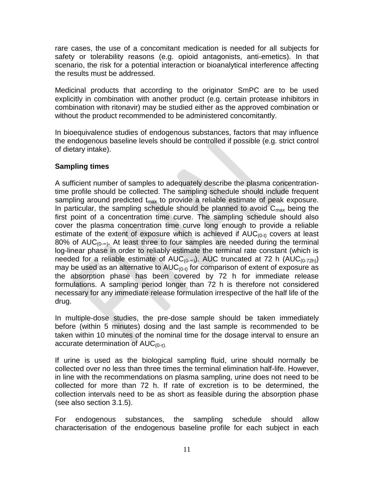rare cases, the use of a concomitant medication is needed for all subjects for safety or tolerability reasons (e.g. opioid antagonists, anti-emetics). In that scenario, the risk for a potential interaction or bioanalytical interference affecting the results must be addressed.

Medicinal products that according to the originator SmPC are to be used explicitly in combination with another product (e.g. certain protease inhibitors in combination with ritonavir) may be studied either as the approved combination or without the product recommended to be administered concomitantly.

In bioequivalence studies of endogenous substances, factors that may influence the endogenous baseline levels should be controlled if possible (e.g. strict control of dietary intake).

# **Sampling times**

A sufficient number of samples to adequately describe the plasma concentrationtime profile should be collected. The sampling schedule should include frequent sampling around predicted  $t_{max}$  to provide a reliable estimate of peak exposure. In particular, the sampling schedule should be planned to avoid  $C_{\text{max}}$  being the first point of a concentration time curve. The sampling schedule should also cover the plasma concentration time curve long enough to provide a reliable estimate of the extent of exposure which is achieved if  $AUC_{(0-t)}$  covers at least 80% of  $AUC_{(0-\infty)}$ . At least three to four samples are needed during the terminal log-linear phase in order to reliably estimate the terminal rate constant (which is needed for a reliable estimate of  $AUC_{(0-\infty)}$ ). AUC truncated at 72 h (AUC $_{(0-72h)}$ ) may be used as an alternative to  $AUC_{(0-t)}$  for comparison of extent of exposure as the absorption phase has been covered by 72 h for immediate release formulations. A sampling period longer than 72 h is therefore not considered necessary for any immediate release formulation irrespective of the half life of the drug.

In multiple-dose studies, the pre-dose sample should be taken immediately before (within 5 minutes) dosing and the last sample is recommended to be taken within 10 minutes of the nominal time for the dosage interval to ensure an accurate determination of  $AUC_{(0-r)}$ .

If urine is used as the biological sampling fluid, urine should normally be collected over no less than three times the terminal elimination half-life. However, in line with the recommendations on plasma sampling, urine does not need to be collected for more than 72 h. If rate of excretion is to be determined, the collection intervals need to be as short as feasible during the absorption phase (see also section 3.1.5).

For endogenous substances, the sampling schedule should allow characterisation of the endogenous baseline profile for each subject in each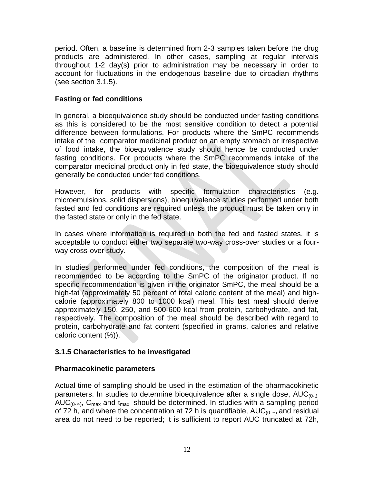period. Often, a baseline is determined from 2-3 samples taken before the drug products are administered. In other cases, sampling at regular intervals throughout 1-2 day(s) prior to administration may be necessary in order to account for fluctuations in the endogenous baseline due to circadian rhythms (see section 3.1.5).

## **Fasting or fed conditions**

In general, a bioequivalence study should be conducted under fasting conditions as this is considered to be the most sensitive condition to detect a potential difference between formulations. For products where the SmPC recommends intake of the comparator medicinal product on an empty stomach or irrespective of food intake, the bioequivalence study should hence be conducted under fasting conditions. For products where the SmPC recommends intake of the comparator medicinal product only in fed state, the bioequivalence study should generally be conducted under fed conditions.

However, for products with specific formulation characteristics (e.g. microemulsions, solid dispersions), bioequivalence studies performed under both fasted and fed conditions are required unless the product must be taken only in the fasted state or only in the fed state.

In cases where information is required in both the fed and fasted states, it is acceptable to conduct either two separate two-way cross-over studies or a fourway cross-over study.

In studies performed under fed conditions, the composition of the meal is recommended to be according to the SmPC of the originator product. If no specific recommendation is given in the originator SmPC, the meal should be a high-fat (approximately 50 percent of total caloric content of the meal) and highcalorie (approximately 800 to 1000 kcal) meal. This test meal should derive approximately 150, 250, and 500-600 kcal from protein, carbohydrate, and fat, respectively. The composition of the meal should be described with regard to protein, carbohydrate and fat content (specified in grams, calories and relative caloric content (%)).

## **3.1.5 Characteristics to be investigated**

## **Pharmacokinetic parameters**

Actual time of sampling should be used in the estimation of the pharmacokinetic parameters. In studies to determine bioequivalence after a single dose,  $AUC_{(0-t)}$ AUC<sub>(0-∞)</sub>, C<sub>max</sub> and t<sub>max</sub> should be determined. In studies with a sampling period of 72 h, and where the concentration at 72 h is quantifiable,  $AUC_{(0-x)}$  and residual area do not need to be reported; it is sufficient to report AUC truncated at 72h,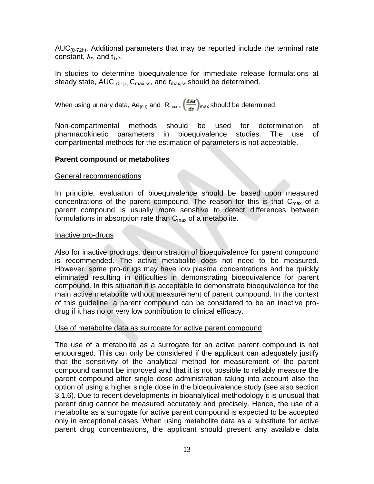AUC $_{(0-72h)}$ . Additional parameters that may be reported include the terminal rate constant,  $\lambda_z$ , and  $t_{1/2}$ .

In studies to determine bioequivalence for immediate release formulations at steady state, AUC  $_{(0-r)}$ , C<sub>max,ss</sub>, and t<sub>max,ss</sub> should be determined.

When using urinary data, Ae<sub>(0-t)</sub> and R<sub>max =</sub>  $\left(\frac{dAe}{dt}\right)_{\text{max}}$  should be determined.

Non-compartmental methods should be used for determination of pharmacokinetic parameters in bioequivalence studies. The use of compartmental methods for the estimation of parameters is not acceptable.

#### **Parent compound or metabolites**

#### General recommendations

In principle, evaluation of bioequivalence should be based upon measured concentrations of the parent compound. The reason for this is that  $C_{\text{max}}$  of a parent compound is usually more sensitive to detect differences between formulations in absorption rate than  $C_{\text{max}}$  of a metabolite.

#### Inactive pro-drugs

Also for inactive prodrugs, demonstration of bioequivalence for parent compound is recommended. The active metabolite does not need to be measured. However, some pro-drugs may have low plasma concentrations and be quickly eliminated resulting in difficulties in demonstrating bioequivalence for parent compound. In this situation it is acceptable to demonstrate bioequivalence for the main active metabolite without measurement of parent compound. In the context of this guideline, a parent compound can be considered to be an inactive prodrug if it has no or very low contribution to clinical efficacy.

## Use of metabolite data as surrogate for active parent compound

The use of a metabolite as a surrogate for an active parent compound is not encouraged. This can only be considered if the applicant can adequately justify that the sensitivity of the analytical method for measurement of the parent compound cannot be improved and that it is not possible to reliably measure the parent compound after single dose administration taking into account also the option of using a higher single dose in the bioequivalence study (see also section 3.1.6). Due to recent developments in bioanalytical methodology it is unusual that parent drug cannot be measured accurately and precisely. Hence, the use of a metabolite as a surrogate for active parent compound is expected to be accepted only in exceptional cases. When using metabolite data as a substitute for active parent drug concentrations, the applicant should present any available data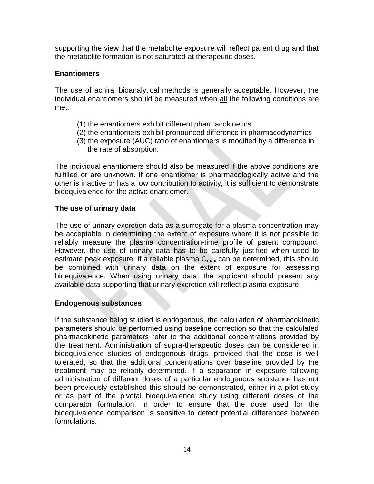supporting the view that the metabolite exposure will reflect parent drug and that the metabolite formation is not saturated at therapeutic doses.

## **Enantiomers**

The use of achiral bioanalytical methods is generally acceptable. However, the individual enantiomers should be measured when all the following conditions are met:

- (1) the enantiomers exhibit different pharmacokinetics
- (2) the enantiomers exhibit pronounced difference in pharmacodynamics
- (3) the exposure (AUC) ratio of enantiomers is modified by a difference in the rate of absorption.

The individual enantiomers should also be measured if the above conditions are fulfilled or are unknown. If one enantiomer is pharmacologically active and the other is inactive or has a low contribution to activity, it is sufficient to demonstrate bioequivalence for the active enantiomer.

## **The use of urinary data**

The use of urinary excretion data as a surrogate for a plasma concentration may be acceptable in determining the extent of exposure where it is not possible to reliably measure the plasma concentration-time profile of parent compound. However, the use of urinary data has to be carefully justified when used to estimate peak exposure. If a reliable plasma  $C_{\text{max}}$  can be determined, this should be combined with urinary data on the extent of exposure for assessing bioequivalence. When using urinary data, the applicant should present any available data supporting that urinary excretion will reflect plasma exposure.

## **Endogenous substances**

If the substance being studied is endogenous, the calculation of pharmacokinetic parameters should be performed using baseline correction so that the calculated pharmacokinetic parameters refer to the additional concentrations provided by the treatment. Administration of supra-therapeutic doses can be considered in bioequivalence studies of endogenous drugs, provided that the dose is well tolerated, so that the additional concentrations over baseline provided by the treatment may be reliably determined. If a separation in exposure following administration of different doses of a particular endogenous substance has not been previously established this should be demonstrated, either in a pilot study or as part of the pivotal bioequivalence study using different doses of the comparator formulation, in order to ensure that the dose used for the bioequivalence comparison is sensitive to detect potential differences between formulations.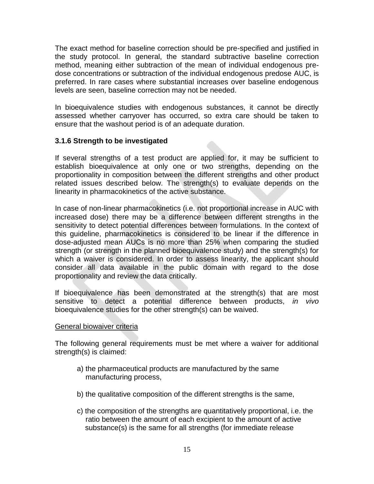The exact method for baseline correction should be pre-specified and justified in the study protocol. In general, the standard subtractive baseline correction method, meaning either subtraction of the mean of individual endogenous predose concentrations or subtraction of the individual endogenous predose AUC, is preferred. In rare cases where substantial increases over baseline endogenous levels are seen, baseline correction may not be needed.

In bioequivalence studies with endogenous substances, it cannot be directly assessed whether carryover has occurred, so extra care should be taken to ensure that the washout period is of an adequate duration.

## **3.1.6 Strength to be investigated**

If several strengths of a test product are applied for, it may be sufficient to establish bioequivalence at only one or two strengths, depending on the proportionality in composition between the different strengths and other product related issues described below. The strength(s) to evaluate depends on the linearity in pharmacokinetics of the active substance.

In case of non-linear pharmacokinetics (i.e. not proportional increase in AUC with increased dose) there may be a difference between different strengths in the sensitivity to detect potential differences between formulations. In the context of this guideline, pharmacokinetics is considered to be linear if the difference in dose-adjusted mean AUCs is no more than 25% when comparing the studied strength (or strength in the planned bioequivalence study) and the strength(s) for which a waiver is considered. In order to assess linearity, the applicant should consider all data available in the public domain with regard to the dose proportionality and review the data critically.

If bioequivalence has been demonstrated at the strength(s) that are most sensitive to detect a potential difference between products, *in vivo*  bioequivalence studies for the other strength(s) can be waived.

## General biowaiver criteria

The following general requirements must be met where a waiver for additional strength(s) is claimed:

- a) the pharmaceutical products are manufactured by the same manufacturing process,
- b) the qualitative composition of the different strengths is the same,
- c) the composition of the strengths are quantitatively proportional, i.e. the ratio between the amount of each excipient to the amount of active substance(s) is the same for all strengths (for immediate release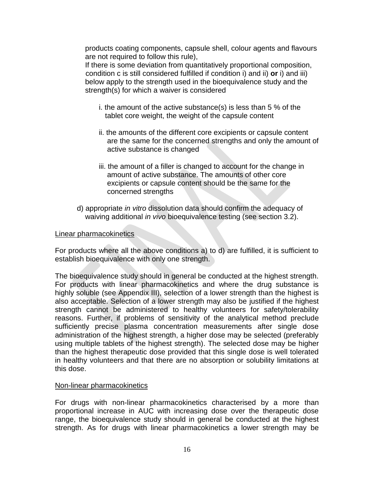products coating components, capsule shell, colour agents and flavours are not required to follow this rule),

 If there is some deviation from quantitatively proportional composition, condition c is still considered fulfilled if condition i) and ii) **or** i) and iii) below apply to the strength used in the bioequivalence study and the strength(s) for which a waiver is considered

- i. the amount of the active substance(s) is less than 5 % of the tablet core weight, the weight of the capsule content
- ii. the amounts of the different core excipients or capsule content are the same for the concerned strengths and only the amount of active substance is changed
- iii. the amount of a filler is changed to account for the change in amount of active substance. The amounts of other core excipients or capsule content should be the same for the concerned strengths
- d) appropriate *in vitro* dissolution data should confirm the adequacy of waiving additional *in vivo* bioequivalence testing (see section 3.2).

#### Linear pharmacokinetics

For products where all the above conditions a) to d) are fulfilled, it is sufficient to establish bioequivalence with only one strength.

The bioequivalence study should in general be conducted at the highest strength. For products with linear pharmacokinetics and where the drug substance is highly soluble (see Appendix III), selection of a lower strength than the highest is also acceptable. Selection of a lower strength may also be justified if the highest strength cannot be administered to healthy volunteers for safety/tolerability reasons. Further, if problems of sensitivity of the analytical method preclude sufficiently precise plasma concentration measurements after single dose administration of the highest strength, a higher dose may be selected (preferably using multiple tablets of the highest strength). The selected dose may be higher than the highest therapeutic dose provided that this single dose is well tolerated in healthy volunteers and that there are no absorption or solubility limitations at this dose.

#### Non-linear pharmacokinetics

For drugs with non-linear pharmacokinetics characterised by a more than proportional increase in AUC with increasing dose over the therapeutic dose range, the bioequivalence study should in general be conducted at the highest strength. As for drugs with linear pharmacokinetics a lower strength may be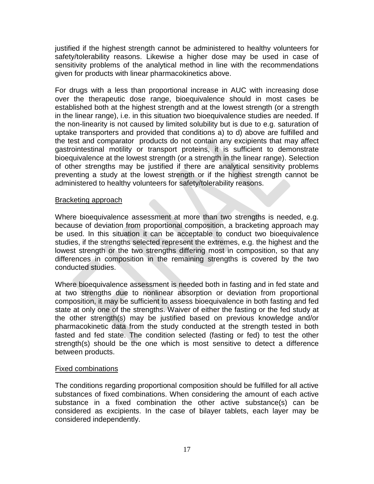justified if the highest strength cannot be administered to healthy volunteers for safety/tolerability reasons. Likewise a higher dose may be used in case of sensitivity problems of the analytical method in line with the recommendations given for products with linear pharmacokinetics above.

For drugs with a less than proportional increase in AUC with increasing dose over the therapeutic dose range, bioequivalence should in most cases be established both at the highest strength and at the lowest strength (or a strength in the linear range), i.e. in this situation two bioequivalence studies are needed. If the non-linearity is not caused by limited solubility but is due to e.g. saturation of uptake transporters and provided that conditions a) to d) above are fulfilled and the test and comparator products do not contain any excipients that may affect gastrointestinal motility or transport proteins, it is sufficient to demonstrate bioequivalence at the lowest strength (or a strength in the linear range). Selection of other strengths may be justified if there are analytical sensitivity problems preventing a study at the lowest strength or if the highest strength cannot be administered to healthy volunteers for safety/tolerability reasons.

#### Bracketing approach

Where bioequivalence assessment at more than two strengths is needed, e.g. because of deviation from proportional composition, a bracketing approach may be used. In this situation it can be acceptable to conduct two bioequivalence studies, if the strengths selected represent the extremes, e.g. the highest and the lowest strength or the two strengths differing most in composition, so that any differences in composition in the remaining strengths is covered by the two conducted studies.

Where bioequivalence assessment is needed both in fasting and in fed state and at two strengths due to nonlinear absorption or deviation from proportional composition, it may be sufficient to assess bioequivalence in both fasting and fed state at only one of the strengths. Waiver of either the fasting or the fed study at the other strength(s) may be justified based on previous knowledge and/or pharmacokinetic data from the study conducted at the strength tested in both fasted and fed state. The condition selected (fasting or fed) to test the other strength(s) should be the one which is most sensitive to detect a difference between products.

#### Fixed combinations

The conditions regarding proportional composition should be fulfilled for all active substances of fixed combinations. When considering the amount of each active substance in a fixed combination the other active substance(s) can be considered as excipients. In the case of bilayer tablets, each layer may be considered independently.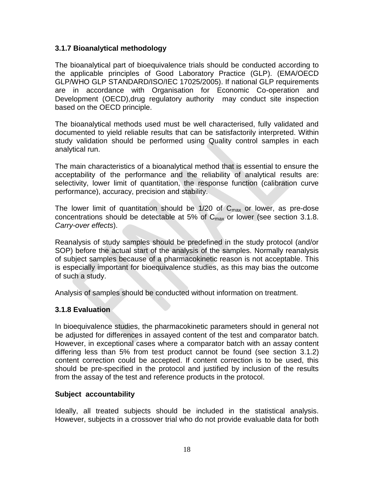## **3.1.7 Bioanalytical methodology**

The bioanalytical part of bioequivalence trials should be conducted according to the applicable principles of Good Laboratory Practice (GLP). (EMA/OECD GLP/WHO GLP STANDARD/ISO/IEC 17025/2005). If national GLP requirements are in accordance with Organisation for Economic Co-operation and Development (OECD),drug regulatory authority may conduct site inspection based on the OECD principle.

The bioanalytical methods used must be well characterised, fully validated and documented to yield reliable results that can be satisfactorily interpreted. Within study validation should be performed using Quality control samples in each analytical run.

The main characteristics of a bioanalytical method that is essential to ensure the acceptability of the performance and the reliability of analytical results are: selectivity, lower limit of quantitation, the response function (calibration curve performance), accuracy, precision and stability.

The lower limit of quantitation should be  $1/20$  of  $C_{\text{max}}$  or lower, as pre-dose concentrations should be detectable at 5% of  $C_{\text{max}}$  or lower (see section 3.1.8. *Carry-over effects*).

Reanalysis of study samples should be predefined in the study protocol (and/or SOP) before the actual start of the analysis of the samples. Normally reanalysis of subject samples because of a pharmacokinetic reason is not acceptable. This is especially important for bioequivalence studies, as this may bias the outcome of such a study.

Analysis of samples should be conducted without information on treatment.

# **3.1.8 Evaluation**

In bioequivalence studies, the pharmacokinetic parameters should in general not be adjusted for differences in assayed content of the test and comparator batch. However, in exceptional cases where a comparator batch with an assay content differing less than 5% from test product cannot be found (see section 3.1.2) content correction could be accepted. If content correction is to be used, this should be pre-specified in the protocol and justified by inclusion of the results from the assay of the test and reference products in the protocol.

## **Subject accountability**

Ideally, all treated subjects should be included in the statistical analysis. However, subjects in a crossover trial who do not provide evaluable data for both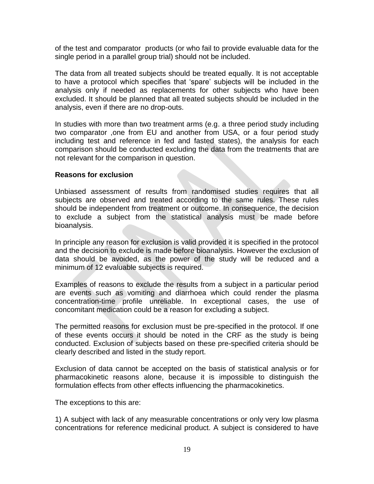of the test and comparator products (or who fail to provide evaluable data for the single period in a parallel group trial) should not be included.

The data from all treated subjects should be treated equally. It is not acceptable to have a protocol which specifies that "spare" subjects will be included in the analysis only if needed as replacements for other subjects who have been excluded. It should be planned that all treated subjects should be included in the analysis, even if there are no drop-outs.

In studies with more than two treatment arms (e.g. a three period study including two comparator ,one from EU and another from USA, or a four period study including test and reference in fed and fasted states), the analysis for each comparison should be conducted excluding the data from the treatments that are not relevant for the comparison in question.

#### **Reasons for exclusion**

Unbiased assessment of results from randomised studies requires that all subjects are observed and treated according to the same rules. These rules should be independent from treatment or outcome. In consequence, the decision to exclude a subject from the statistical analysis must be made before bioanalysis.

In principle any reason for exclusion is valid provided it is specified in the protocol and the decision to exclude is made before bioanalysis. However the exclusion of data should be avoided, as the power of the study will be reduced and a minimum of 12 evaluable subjects is required.

Examples of reasons to exclude the results from a subject in a particular period are events such as vomiting and diarrhoea which could render the plasma concentration-time profile unreliable. In exceptional cases, the use of concomitant medication could be a reason for excluding a subject.

The permitted reasons for exclusion must be pre-specified in the protocol. If one of these events occurs it should be noted in the CRF as the study is being conducted. Exclusion of subjects based on these pre-specified criteria should be clearly described and listed in the study report.

Exclusion of data cannot be accepted on the basis of statistical analysis or for pharmacokinetic reasons alone, because it is impossible to distinguish the formulation effects from other effects influencing the pharmacokinetics.

The exceptions to this are:

1) A subject with lack of any measurable concentrations or only very low plasma concentrations for reference medicinal product. A subject is considered to have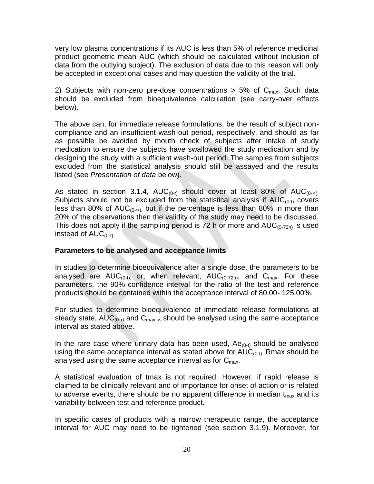very low plasma concentrations if its AUC is less than 5% of reference medicinal product geometric mean AUC (which should be calculated without inclusion of data from the outlying subject). The exclusion of data due to this reason will only be accepted in exceptional cases and may question the validity of the trial.

2) Subjects with non-zero pre-dose concentrations  $> 5\%$  of C<sub>max</sub>. Such data should be excluded from bioequivalence calculation (see carry-over effects below).

The above can, for immediate release formulations, be the result of subject noncompliance and an insufficient wash-out period, respectively, and should as far as possible be avoided by mouth check of subjects after intake of study medication to ensure the subjects have swallowed the study medication and by designing the study with a sufficient wash-out period. The samples from subjects excluded from the statistical analysis should still be assayed and the results listed (see *Presentation of data* below).

As stated in section 3.1.4,  $AUC_{(0-t)}$  should cover at least 80% of  $AUC_{(0-\infty)}$ . Subjects should not be excluded from the statistical analysis if  $AUC_{(0-t)}$  covers less than 80% of AUC<sub>(0-∞)</sub>, but if the percentage is less than 80% in more than 20% of the observations then the validity of the study may need to be discussed. This does not apply if the sampling period is 72 h or more and  $AUC_{(0.72h)}$  is used instead of  $AUC_{(0-t)}$ .

## **Parameters to be analysed and acceptance limits**

In studies to determine bioequivalence after a single dose, the parameters to be analysed are  $AUC_{(0-t)}$ , or, when relevant,  $AUC_{(0-72h)}$ , and  $C_{max}$ . For these parameters, the 90% confidence interval for the ratio of the test and reference products should be contained within the acceptance interval of 80.00- 125.00%.

For studies to determine bioequivalence of immediate release formulations at steady state,  $AUC_{(0-i)}$  and  $C_{max,ss}$  should be analysed using the same acceptance interval as stated above.

In the rare case where urinary data has been used,  $Ae_{(0-t)}$  should be analysed using the same acceptance interval as stated above for  $AUC_{(0-t)}$ . Rmax should be analysed using the same acceptance interval as for  $C_{\text{max}}$ .

A statistical evaluation of tmax is not required. However, if rapid release is claimed to be clinically relevant and of importance for onset of action or is related to adverse events, there should be no apparent difference in median  $t_{max}$  and its variability between test and reference product.

In specific cases of products with a narrow therapeutic range, the acceptance interval for AUC may need to be tightened (see section 3.1.9). Moreover, for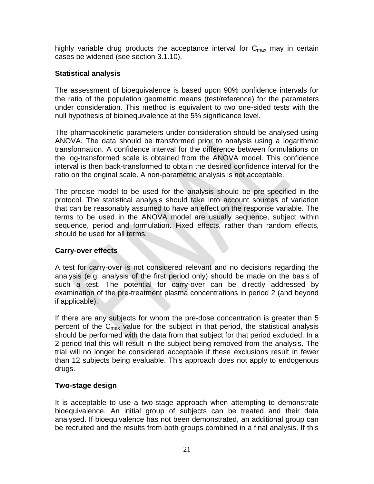highly variable drug products the acceptance interval for  $C_{\text{max}}$  may in certain cases be widened (see section 3.1.10).

## **Statistical analysis**

The assessment of bioequivalence is based upon 90% confidence intervals for the ratio of the population geometric means (test/reference) for the parameters under consideration. This method is equivalent to two one-sided tests with the null hypothesis of bioinequivalence at the 5% significance level.

The pharmacokinetic parameters under consideration should be analysed using ANOVA. The data should be transformed prior to analysis using a logarithmic transformation. A confidence interval for the difference between formulations on the log-transformed scale is obtained from the ANOVA model. This confidence interval is then back-transformed to obtain the desired confidence interval for the ratio on the original scale. A non-parametric analysis is not acceptable.

The precise model to be used for the analysis should be pre-specified in the protocol. The statistical analysis should take into account sources of variation that can be reasonably assumed to have an effect on the response variable. The terms to be used in the ANOVA model are usually sequence, subject within sequence, period and formulation. Fixed effects, rather than random effects, should be used for all terms.

## **Carry-over effects**

A test for carry-over is not considered relevant and no decisions regarding the analysis (e.g. analysis of the first period only) should be made on the basis of such a test. The potential for carry-over can be directly addressed by examination of the pre-treatment plasma concentrations in period 2 (and beyond if applicable).

If there are any subjects for whom the pre-dose concentration is greater than 5 percent of the  $C<sub>max</sub>$  value for the subject in that period, the statistical analysis should be performed with the data from that subject for that period excluded. In a 2-period trial this will result in the subject being removed from the analysis. The trial will no longer be considered acceptable if these exclusions result in fewer than 12 subjects being evaluable. This approach does not apply to endogenous drugs.

## **Two-stage design**

It is acceptable to use a two-stage approach when attempting to demonstrate bioequivalence. An initial group of subjects can be treated and their data analysed. If bioequivalence has not been demonstrated, an additional group can be recruited and the results from both groups combined in a final analysis. If this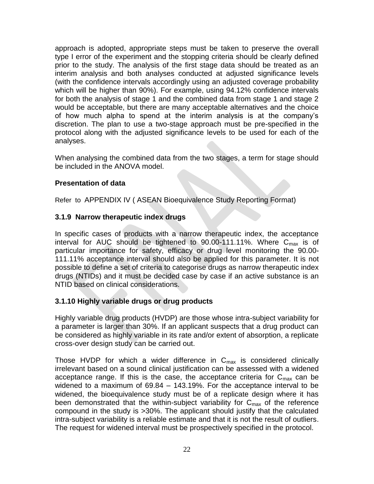approach is adopted, appropriate steps must be taken to preserve the overall type I error of the experiment and the stopping criteria should be clearly defined prior to the study. The analysis of the first stage data should be treated as an interim analysis and both analyses conducted at adjusted significance levels (with the confidence intervals accordingly using an adjusted coverage probability which will be higher than 90%). For example, using 94.12% confidence intervals for both the analysis of stage 1 and the combined data from stage 1 and stage 2 would be acceptable, but there are many acceptable alternatives and the choice of how much alpha to spend at the interim analysis is at the company"s discretion. The plan to use a two-stage approach must be pre-specified in the protocol along with the adjusted significance levels to be used for each of the analyses.

When analysing the combined data from the two stages, a term for stage should be included in the ANOVA model.

## **Presentation of data**

Refer to APPENDIX IV ( ASEAN Bioequivalence Study Reporting Format)

## **3.1.9 Narrow therapeutic index drugs**

In specific cases of products with a narrow therapeutic index, the acceptance interval for AUC should be tightened to  $90.00-111.11\%$ . Where  $C_{\text{max}}$  is of particular importance for safety, efficacy or drug level monitoring the 90.00- 111.11% acceptance interval should also be applied for this parameter. It is not possible to define a set of criteria to categorise drugs as narrow therapeutic index drugs (NTIDs) and it must be decided case by case if an active substance is an NTID based on clinical considerations.

# **3.1.10 Highly variable drugs or drug products**

Highly variable drug products (HVDP) are those whose intra-subject variability for a parameter is larger than 30%. If an applicant suspects that a drug product can be considered as highly variable in its rate and/or extent of absorption, a replicate cross-over design study can be carried out.

Those HVDP for which a wider difference in  $C_{\text{max}}$  is considered clinically irrelevant based on a sound clinical justification can be assessed with a widened acceptance range. If this is the case, the acceptance criteria for  $C_{\text{max}}$  can be widened to a maximum of 69.84 – 143.19%. For the acceptance interval to be widened, the bioequivalence study must be of a replicate design where it has been demonstrated that the within-subject variability for  $C_{\text{max}}$  of the reference compound in the study is >30%. The applicant should justify that the calculated intra-subject variability is a reliable estimate and that it is not the result of outliers. The request for widened interval must be prospectively specified in the protocol.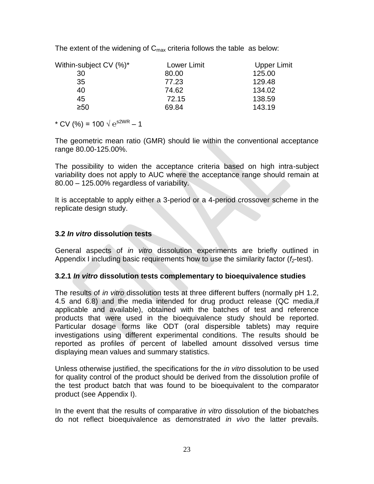The extent of the widening of  $C_{\text{max}}$  criteria follows the table as below:

| Within-subject CV (%)* | Lower Limit | <b>Upper Limit</b> |
|------------------------|-------------|--------------------|
| 30                     | 80.00       | 125.00             |
| 35                     | 77.23       | 129.48             |
| 40                     | 74.62       | 134.02             |
| 45                     | 72.15       | 138.59             |
| ≥50                    | 69.84       | 143.19             |

\* CV (%) = 100  $\sqrt{\text{e}}^{\text{s2WR}} - 1$ 

The geometric mean ratio (GMR) should lie within the conventional acceptance range 80.00-125.00%.

The possibility to widen the acceptance criteria based on high intra-subject variability does not apply to AUC where the acceptance range should remain at 80.00 – 125.00% regardless of variability.

It is acceptable to apply either a 3-period or a 4-period crossover scheme in the replicate design study.

# **3.2** *In vitro* **dissolution tests**

General aspects of *in vitro* dissolution experiments are briefly outlined in Appendix I including basic requirements how to use the similarity factor (*f2*-test).

## **3.2.1** *In vitro* **dissolution tests complementary to bioequivalence studies**

The results of *in vitro* dissolution tests at three different buffers (normally pH 1.2, 4.5 and 6.8) and the media intended for drug product release (QC media,if applicable and available), obtained with the batches of test and reference products that were used in the bioequivalence study should be reported. Particular dosage forms like ODT (oral dispersible tablets) may require investigations using different experimental conditions. The results should be reported as profiles of percent of labelled amount dissolved versus time displaying mean values and summary statistics.

Unless otherwise justified, the specifications for the *in vitro* dissolution to be used for quality control of the product should be derived from the dissolution profile of the test product batch that was found to be bioequivalent to the comparator product (see Appendix I).

In the event that the results of comparative *in vitro* dissolution of the biobatches do not reflect bioequivalence as demonstrated *in vivo* the latter prevails.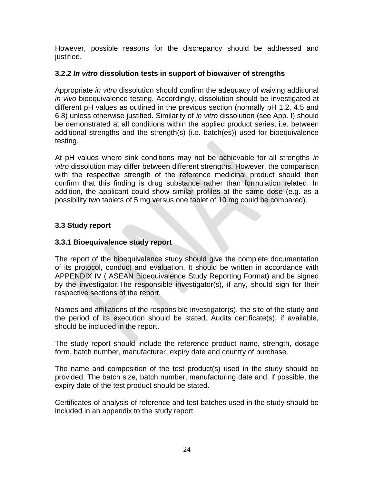However, possible reasons for the discrepancy should be addressed and justified.

# **3.2.2** *In vitro* **dissolution tests in support of biowaiver of strengths**

Appropriate *in vitro* dissolution should confirm the adequacy of waiving additional *in vivo* bioequivalence testing. Accordingly, dissolution should be investigated at different pH values as outlined in the previous section (normally pH 1.2, 4.5 and 6.8) unless otherwise justified. Similarity of *in vitro* dissolution (see App. I) should be demonstrated at all conditions within the applied product series, i.e. between additional strengths and the strength(s) (i.e. batch(es)) used for bioequivalence testing.

At pH values where sink conditions may not be achievable for all strengths *in vitro* dissolution may differ between different strengths. However, the comparison with the respective strength of the reference medicinal product should then confirm that this finding is drug substance rather than formulation related. In addition, the applicant could show similar profiles at the same dose (e.g. as a possibility two tablets of 5 mg versus one tablet of 10 mg could be compared).

# **3.3 Study report**

# **3.3.1 Bioequivalence study report**

The report of the bioequivalence study should give the complete documentation of its protocol, conduct and evaluation. It should be written in accordance with APPENDIX IV ( ASEAN Bioequivalence Study Reporting Format) and be signed by the investigator.The responsible investigator(s), if any, should sign for their respective sections of the report.

Names and affiliations of the responsible investigator(s), the site of the study and the period of its execution should be stated. Audits certificate(s), if available, should be included in the report.

The study report should include the reference product name, strength, dosage form, batch number, manufacturer, expiry date and country of purchase.

The name and composition of the test product(s) used in the study should be provided. The batch size, batch number, manufacturing date and, if possible, the expiry date of the test product should be stated.

Certificates of analysis of reference and test batches used in the study should be included in an appendix to the study report.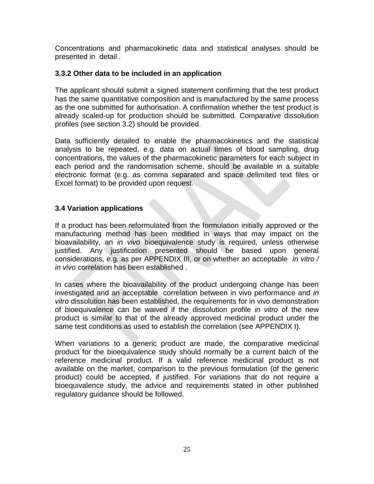Concentrations and pharmacokinetic data and statistical analyses should be presented in detail *.*

## **3.3.2 Other data to be included in an application**

The applicant should submit a signed statement confirming that the test product has the same quantitative composition and is manufactured by the same process as the one submitted for authorisation. A confirmation whether the test product is already scaled-up for production should be submitted. Comparative dissolution profiles (see section 3.2) should be provided.

Data sufficiently detailed to enable the pharmacokinetics and the statistical analysis to be repeated, e.g. data on actual times of blood sampling, drug concentrations, the values of the pharmacokinetic parameters for each subject in each period and the randomisation scheme, should be available in a suitable electronic format (e.g. as comma separated and space delimited text files or Excel format) to be provided upon request.

## **3.4 Variation applications**

If a product has been reformulated from the formulation initially approved or the manufacturing method has been modified in ways that may impact on the bioavailability, an *in vivo* bioequivalence study is required, unless otherwise justified. Any justification presented should be based upon general considerations, e.g. as per APPENDIX III, or on whether an acceptable *in vitro / in vivo* correlation has been established .

In cases where the bioavailability of the product undergoing change has been investigated and an acceptable correlation between in vivo performance and *in vitro* dissolution has been established, the requirements for in vivo demonstration of bioequivalence can be waived if the dissolution profile *in vitro* of the new product is similar to that of the already approved medicinal product under the same test conditions as used to establish the correlation (see APPENDIX I).

When variations to a generic product are made, the comparative medicinal product for the bioequivalence study should normally be a current batch of the reference medicinal product. If a valid reference medicinal product is not available on the market, comparison to the previous formulation (of the generic product) could be accepted, if justified. For variations that do not require a bioequivalence study, the advice and requirements stated in other published regulatory guidance should be followed.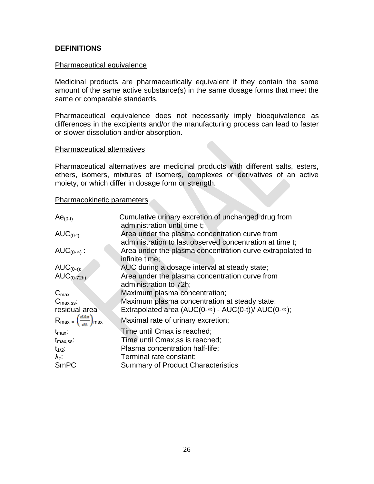## **DEFINITIONS**

#### Pharmaceutical equivalence

Medicinal products are pharmaceutically equivalent if they contain the same amount of the same active substance(s) in the same dosage forms that meet the same or comparable standards.

Pharmaceutical equivalence does not necessarily imply bioequivalence as differences in the excipients and/or the manufacturing process can lead to faster or slower dissolution and/or absorption.

#### Pharmaceutical alternatives

Pharmaceutical alternatives are medicinal products with different salts, esters, ethers, isomers, mixtures of isomers, complexes or derivatives of an active moiety, or which differ in dosage form or strength.

#### Pharmacokinetic parameters

| $Ae_{(0-t)}$                                                  | Cumulative urinary excretion of unchanged drug from<br>administration until time t; |
|---------------------------------------------------------------|-------------------------------------------------------------------------------------|
| $AUC_{(0-t)}$                                                 | Area under the plasma concentration curve from                                      |
|                                                               | administration to last observed concentration at time t;                            |
| $AUC_{(0-\infty)}$ :                                          | Area under the plasma concentration curve extrapolated to<br>infinite time;         |
|                                                               | AUC during a dosage interval at steady state;                                       |
| $\mathsf{AUC}_{(0\text{-}r):}\ \mathsf{AUC}_{(0\text{-}72h)}$ | Area under the plasma concentration curve from                                      |
|                                                               | administration to 72h;                                                              |
| $C_{\text{max}}$                                              | Maximum plasma concentration;                                                       |
| $C_{\text{max,ss}}$ :                                         | Maximum plasma concentration at steady state;                                       |
| residual area                                                 | Extrapolated area (AUC(0- $\infty$ ) - AUC(0-t))/ AUC(0- $\infty$ );                |
| $R_{\text{max}} = \left(\frac{dA\epsilon}{dt}\right)$ max     | Maximal rate of urinary excretion;                                                  |
| $t_{\text{max}}$ :                                            | Time until Cmax is reached;                                                         |
| $t_{\rm max,ss}$ :                                            | Time until Cmax, ss is reached;                                                     |
| $t_{1/2}$ :                                                   | Plasma concentration half-life;                                                     |
| $\lambda_z$ :                                                 | Terminal rate constant;                                                             |
| <b>SmPC</b>                                                   | <b>Summary of Product Characteristics</b>                                           |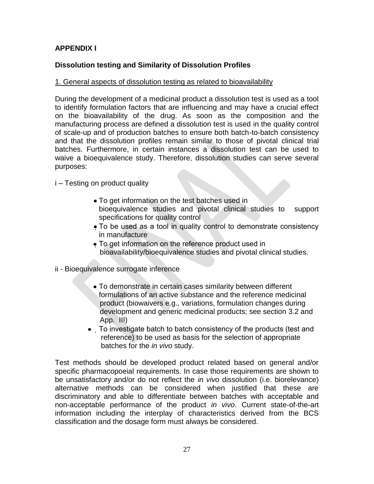# **APPENDIX I**

## **Dissolution testing and Similarity of Dissolution Profiles**

#### 1. General aspects of dissolution testing as related to bioavailability

During the development of a medicinal product a dissolution test is used as a tool to identify formulation factors that are influencing and may have a crucial effect on the bioavailability of the drug. As soon as the composition and the manufacturing process are defined a dissolution test is used in the quality control of scale-up and of production batches to ensure both batch-to-batch consistency and that the dissolution profiles remain similar to those of pivotal clinical trial batches. Furthermore, in certain instances a dissolution test can be used to waive a bioequivalence study. Therefore, dissolution studies can serve several purposes:

i – Testing on product quality

- To get information on the test batches used in bioequivalence studies and pivotal clinical studies to support specifications for quality control
- To be used as a tool in quality control to demonstrate consistency in manufacture
- To get information on the reference product used in bioavailability/bioequivalence studies and pivotal clinical studies.
- ii Bioequivalence surrogate inference
	- To demonstrate in certain cases similarity between different formulations of an active substance and the reference medicinal product (biowaivers e.g., variations, formulation changes during development and generic medicinal products; see section 3.2 and App. III)
	- To investigate batch to batch consistency of the products (test and reference) to be used as basis for the selection of appropriate batches for the *in vivo* study.

Test methods should be developed product related based on general and/or specific pharmacopoeial requirements. In case those requirements are shown to be unsatisfactory and/or do not reflect the *in vivo* dissolution (i.e. biorelevance) alternative methods can be considered when justified that these are discriminatory and able to differentiate between batches with acceptable and non-acceptable performance of the product *in vivo*. Current state-of-the-art information including the interplay of characteristics derived from the BCS classification and the dosage form must always be considered.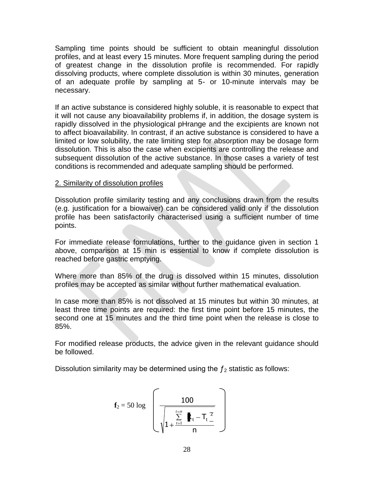Sampling time points should be sufficient to obtain meaningful dissolution profiles, and at least every 15 minutes. More frequent sampling during the period of greatest change in the dissolution profile is recommended. For rapidly dissolving products, where complete dissolution is within 30 minutes, generation of an adequate profile by sampling at 5- or 10-minute intervals may be necessary.

If an active substance is considered highly soluble, it is reasonable to expect that it will not cause any bioavailability problems if, in addition, the dosage system is rapidly dissolved in the physiological pHrange and the excipients are known not to affect bioavailability. In contrast, if an active substance is considered to have a limited or low solubility, the rate limiting step for absorption may be dosage form dissolution. This is also the case when excipients are controlling the release and subsequent dissolution of the active substance. In those cases a variety of test conditions is recommended and adequate sampling should be performed.

#### 2. Similarity of dissolution profiles

Dissolution profile similarity testing and any conclusions drawn from the results (e.g. justification for a biowaiver) can be considered valid only if the dissolution profile has been satisfactorily characterised using a sufficient number of time points.

For immediate release formulations, further to the guidance given in section 1 above, comparison at 15 min is essential to know if complete dissolution is reached before gastric emptying.

Where more than 85% of the drug is dissolved within 15 minutes, dissolution profiles may be accepted as similar without further mathematical evaluation.

In case more than 85% is not dissolved at 15 minutes but within 30 minutes, at least three time points are required: the first time point before 15 minutes, the second one at 15 minutes and the third time point when the release is close to 85%.

For modified release products, the advice given in the relevant guidance should be followed.

Dissolution similarity may be determined using the  $f_2$  statistic as follows:

$$
\mathbf{f}_2 = 50 \log \left( \frac{100}{\sqrt{\sum_{t=1}^{t=n} \mathbf{R}_t - T_t \frac{z}{n}}} \right)
$$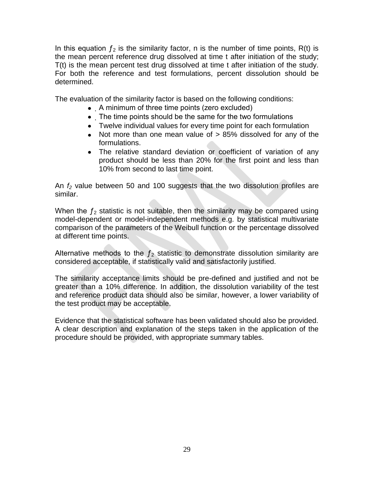In this equation  $f_2$  is the similarity factor, n is the number of time points, R(t) is the mean percent reference drug dissolved at time t after initiation of the study; T(t) is the mean percent test drug dissolved at time t after initiation of the study. For both the reference and test formulations, percent dissolution should be determined.

The evaluation of the similarity factor is based on the following conditions:

- A minimum of three time points (zero excluded)
- The time points should be the same for the two formulations
- Twelve individual values for every time point for each formulation
- Not more than one mean value of  $> 85\%$  dissolved for any of the formulations.
- The relative standard deviation or coefficient of variation of any product should be less than 20% for the first point and less than 10% from second to last time point.

An *f<sup>2</sup>* value between 50 and 100 suggests that the two dissolution profiles are similar.

When the  $f_2$  statistic is not suitable, then the similarity may be compared using model-dependent or model-independent methods e.g. by statistical multivariate comparison of the parameters of the Weibull function or the percentage dissolved at different time points.

Alternative methods to the  $f_2$  statistic to demonstrate dissolution similarity are considered acceptable, if statistically valid and satisfactorily justified.

The similarity acceptance limits should be pre-defined and justified and not be greater than a 10% difference. In addition, the dissolution variability of the test and reference product data should also be similar, however, a lower variability of the test product may be acceptable.

Evidence that the statistical software has been validated should also be provided. A clear description and explanation of the steps taken in the application of the procedure should be provided, with appropriate summary tables.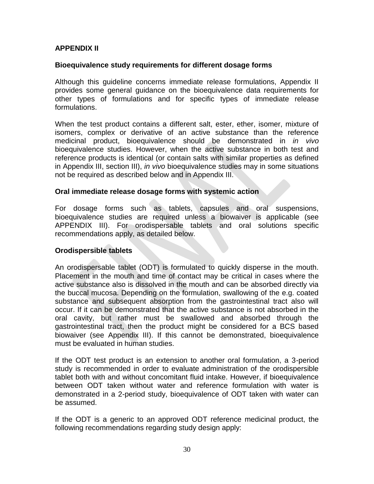# **APPENDIX II**

## **Bioequivalence study requirements for different dosage forms**

Although this guideline concerns immediate release formulations, Appendix II provides some general guidance on the bioequivalence data requirements for other types of formulations and for specific types of immediate release formulations.

When the test product contains a different salt, ester, ether, isomer, mixture of isomers, complex or derivative of an active substance than the reference medicinal product, bioequivalence should be demonstrated in *in vivo*  bioequivalence studies. However, when the active substance in both test and reference products is identical (or contain salts with similar properties as defined in Appendix III, section III), *in vivo* bioequivalence studies may in some situations not be required as described below and in Appendix III.

## **Oral immediate release dosage forms with systemic action**

For dosage forms such as tablets, capsules and oral suspensions, bioequivalence studies are required unless a biowaiver is applicable (see APPENDIX III). For orodispersable tablets and oral solutions specific recommendations apply, as detailed below.

## **Orodispersible tablets**

An orodispersable tablet (ODT) is formulated to quickly disperse in the mouth. Placement in the mouth and time of contact may be critical in cases where the active substance also is dissolved in the mouth and can be absorbed directly via the buccal mucosa. Depending on the formulation, swallowing of the e.g. coated substance and subsequent absorption from the gastrointestinal tract also will occur. If it can be demonstrated that the active substance is not absorbed in the oral cavity, but rather must be swallowed and absorbed through the gastrointestinal tract, then the product might be considered for a BCS based biowaiver (see Appendix III). If this cannot be demonstrated, bioequivalence must be evaluated in human studies.

If the ODT test product is an extension to another oral formulation, a 3-period study is recommended in order to evaluate administration of the orodispersible tablet both with and without concomitant fluid intake. However, if bioequivalence between ODT taken without water and reference formulation with water is demonstrated in a 2-period study, bioequivalence of ODT taken with water can be assumed.

If the ODT is a generic to an approved ODT reference medicinal product, the following recommendations regarding study design apply: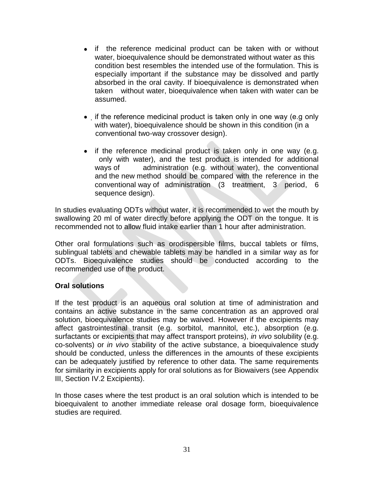- if the reference medicinal product can be taken with or without water, bioequivalence should be demonstrated without water as this condition best resembles the intended use of the formulation. This is especially important if the substance may be dissolved and partly absorbed in the oral cavity. If bioequivalence is demonstrated when taken without water, bioequivalence when taken with water can be assumed.
- $\bullet$  if the reference medicinal product is taken only in one way (e.g only with water), bioequivalence should be shown in this condition (in a conventional two-way crossover design).
- $\bullet$  if the reference medicinal product is taken only in one way (e.g. only with water), and the test product is intended for additional ways of administration (e.g. without water), the conventional and the new method should be compared with the reference in the conventional way of administration (3 treatment, 3 period, 6 sequence design).

In studies evaluating ODTs without water, it is recommended to wet the mouth by swallowing 20 ml of water directly before applying the ODT on the tongue. It is recommended not to allow fluid intake earlier than 1 hour after administration.

Other oral formulations such as orodispersible films, buccal tablets or films, sublingual tablets and chewable tablets may be handled in a similar way as for ODTs. Bioequivalence studies should be conducted according to the recommended use of the product.

## **Oral solutions**

If the test product is an aqueous oral solution at time of administration and contains an active substance in the same concentration as an approved oral solution, bioequivalence studies may be waived. However if the excipients may affect gastrointestinal transit (e.g. sorbitol, mannitol, etc.), absorption (e.g. surfactants or excipients that may affect transport proteins), *in vivo* solubility (e.g. co-solvents) or *in vivo* stability of the active substance, a bioequivalence study should be conducted, unless the differences in the amounts of these excipients can be adequately justified by reference to other data. The same requirements for similarity in excipients apply for oral solutions as for Biowaivers (see Appendix III, Section IV.2 Excipients).

In those cases where the test product is an oral solution which is intended to be bioequivalent to another immediate release oral dosage form, bioequivalence studies are required.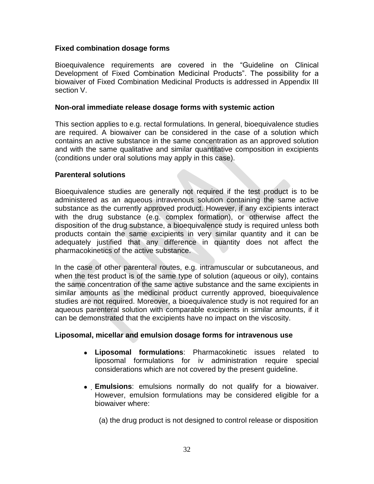## **Fixed combination dosage forms**

Bioequivalence requirements are covered in the "Guideline on Clinical Development of Fixed Combination Medicinal Products". The possibility for a biowaiver of Fixed Combination Medicinal Products is addressed in Appendix III section V.

#### **Non-oral immediate release dosage forms with systemic action**

This section applies to e.g. rectal formulations. In general, bioequivalence studies are required. A biowaiver can be considered in the case of a solution which contains an active substance in the same concentration as an approved solution and with the same qualitative and similar quantitative composition in excipients (conditions under oral solutions may apply in this case).

#### **Parenteral solutions**

Bioequivalence studies are generally not required if the test product is to be administered as an aqueous intravenous solution containing the same active substance as the currently approved product. However, if any excipients interact with the drug substance (e.g. complex formation), or otherwise affect the disposition of the drug substance, a bioequivalence study is required unless both products contain the same excipients in very similar quantity and it can be adequately justified that any difference in quantity does not affect the pharmacokinetics of the active substance.

In the case of other parenteral routes, e.g. intramuscular or subcutaneous, and when the test product is of the same type of solution (aqueous or oily), contains the same concentration of the same active substance and the same excipients in similar amounts as the medicinal product currently approved, bioequivalence studies are not required. Moreover, a bioequivalence study is not required for an aqueous parenteral solution with comparable excipients in similar amounts, if it can be demonstrated that the excipients have no impact on the viscosity.

## **Liposomal, micellar and emulsion dosage forms for intravenous use**

- **Liposomal formulations**: Pharmacokinetic issues related to liposomal formulations for iv administration require special considerations which are not covered by the present guideline.
- **Emulsions**: emulsions normally do not qualify for a biowaiver. However, emulsion formulations may be considered eligible for a biowaiver where:

(a) the drug product is not designed to control release or disposition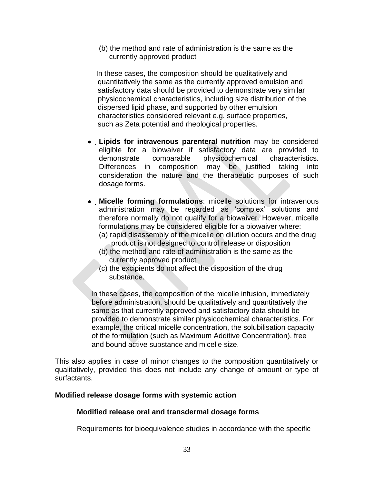(b) the method and rate of administration is the same as the currently approved product

In these cases, the composition should be qualitatively and quantitatively the same as the currently approved emulsion and satisfactory data should be provided to demonstrate very similar physicochemical characteristics, including size distribution of the dispersed lipid phase, and supported by other emulsion characteristics considered relevant e.g. surface properties, such as Zeta potential and rheological properties.

- **Lipids for intravenous parenteral nutrition** may be considered eligible for a biowaiver if satisfactory data are provided to demonstrate comparable physicochemical characteristics. Differences in composition may be justified taking into consideration the nature and the therapeutic purposes of such dosage forms.
- **Micelle forming formulations**: micelle solutions for intravenous administration may be regarded as "complex" solutions and therefore normally do not qualify for a biowaiver. However, micelle formulations may be considered eligible for a biowaiver where:
	- (a) rapid disassembly of the micelle on dilution occurs and the drug product is not designed to control release or disposition
	- (b) the method and rate of administration is the same as the currently approved product
	- (c) the excipients do not affect the disposition of the drug substance.

In these cases, the composition of the micelle infusion, immediately before administration, should be qualitatively and quantitatively the same as that currently approved and satisfactory data should be provided to demonstrate similar physicochemical characteristics. For example, the critical micelle concentration, the solubilisation capacity of the formulation (such as Maximum Additive Concentration), free and bound active substance and micelle size.

This also applies in case of minor changes to the composition quantitatively or qualitatively, provided this does not include any change of amount or type of surfactants.

## **Modified release dosage forms with systemic action**

## **Modified release oral and transdermal dosage forms**

Requirements for bioequivalence studies in accordance with the specific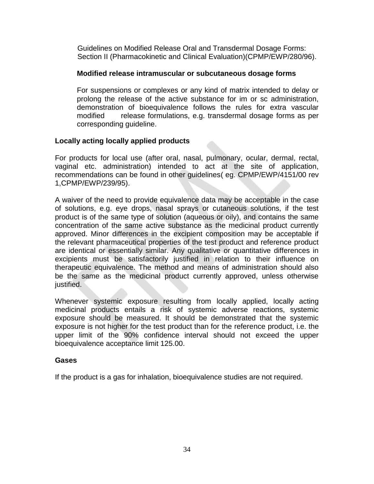Guidelines on Modified Release Oral and Transdermal Dosage Forms: Section II (Pharmacokinetic and Clinical Evaluation)(CPMP/EWP/280/96).

## **Modified release intramuscular or subcutaneous dosage forms**

For suspensions or complexes or any kind of matrix intended to delay or prolong the release of the active substance for im or sc administration, demonstration of bioequivalence follows the rules for extra vascular modified release formulations, e.g. transdermal dosage forms as per corresponding guideline.

## **Locally acting locally applied products**

For products for local use (after oral, nasal, pulmonary, ocular, dermal, rectal, vaginal etc. administration) intended to act at the site of application, recommendations can be found in other guidelines( eg. CPMP/EWP/4151/00 rev 1,CPMP/EWP/239/95).

A waiver of the need to provide equivalence data may be acceptable in the case of solutions, e.g. eye drops, nasal sprays or cutaneous solutions, if the test product is of the same type of solution (aqueous or oily), and contains the same concentration of the same active substance as the medicinal product currently approved. Minor differences in the excipient composition may be acceptable if the relevant pharmaceutical properties of the test product and reference product are identical or essentially similar. Any qualitative or quantitative differences in excipients must be satisfactorily justified in relation to their influence on therapeutic equivalence. The method and means of administration should also be the same as the medicinal product currently approved, unless otherwise justified.

Whenever systemic exposure resulting from locally applied, locally acting medicinal products entails a risk of systemic adverse reactions, systemic exposure should be measured. It should be demonstrated that the systemic exposure is not higher for the test product than for the reference product, i.e. the upper limit of the 90% confidence interval should not exceed the upper bioequivalence acceptance limit 125.00.

#### **Gases**

If the product is a gas for inhalation, bioequivalence studies are not required.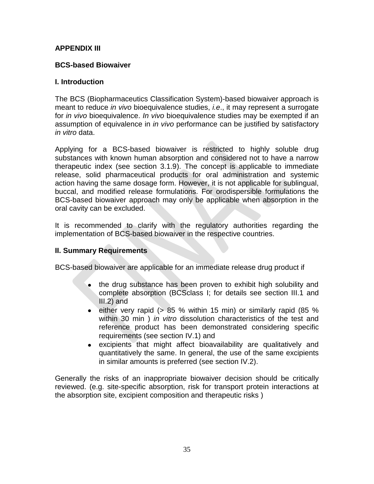# **APPENDIX III**

# **BCS-based Biowaiver**

## **I. Introduction**

The BCS (Biopharmaceutics Classification System)-based biowaiver approach is meant to reduce *in vivo* bioequivalence studies, *i.e*., it may represent a surrogate for *in vivo* bioequivalence. *In vivo* bioequivalence studies may be exempted if an assumption of equivalence in *in vivo* performance can be justified by satisfactory *in vitro* data.

Applying for a BCS-based biowaiver is restricted to highly soluble drug substances with known human absorption and considered not to have a narrow therapeutic index (see section 3.1.9). The concept is applicable to immediate release, solid pharmaceutical products for oral administration and systemic action having the same dosage form. However, it is not applicable for sublingual, buccal, and modified release formulations. For orodispersible formulations the BCS-based biowaiver approach may only be applicable when absorption in the oral cavity can be excluded.

It is recommended to clarify with the regulatory authorities regarding the implementation of BCS-based biowaiver in the respective countries.

## **II. Summary Requirements**

BCS-based biowaiver are applicable for an immediate release drug product if

- the drug substance has been proven to exhibit high solubility and complete absorption (BCSclass I; for details see section III.1 and III.2) and
- either very rapid (> 85 % within 15 min) or similarly rapid (85 %  $\bullet$ within 30 min ) *in vitro* dissolution characteristics of the test and reference product has been demonstrated considering specific requirements (see section IV.1) and
- excipients that might affect bioavailability are qualitatively and quantitatively the same. In general, the use of the same excipients in similar amounts is preferred (see section IV.2).

Generally the risks of an inappropriate biowaiver decision should be critically reviewed. (e.g. site-specific absorption, risk for transport protein interactions at the absorption site, excipient composition and therapeutic risks )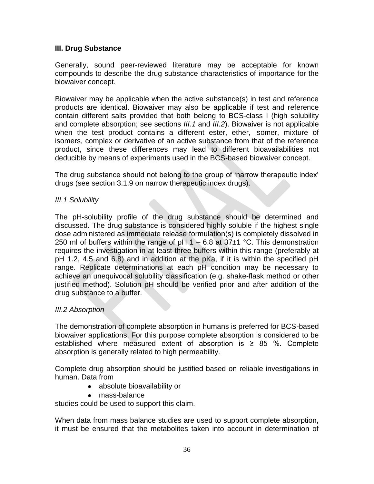## **III. Drug Substance**

Generally, sound peer-reviewed literature may be acceptable for known compounds to describe the drug substance characteristics of importance for the biowaiver concept.

Biowaiver may be applicable when the active substance(s) in test and reference products are identical. Biowaiver may also be applicable if test and reference contain different salts provided that both belong to BCS-class I (high solubility and complete absorption; see sections *III.1* and *III.2*). Biowaiver is not applicable when the test product contains a different ester, ether, isomer, mixture of isomers, complex or derivative of an active substance from that of the reference product, since these differences may lead to different bioavailabilities not deducible by means of experiments used in the BCS-based biowaiver concept.

The drug substance should not belong to the group of "narrow therapeutic index" drugs (see section 3.1.9 on narrow therapeutic index drugs).

## *III.1 Solubility*

The pH-solubility profile of the drug substance should be determined and discussed. The drug substance is considered highly soluble if the highest single dose administered as immediate release formulation(s) is completely dissolved in 250 ml of buffers within the range of pH  $1 - 6.8$  at  $37\pm1$  °C. This demonstration requires the investigation in at least three buffers within this range (preferably at pH 1.2, 4.5 and 6.8) and in addition at the pKa, if it is within the specified pH range. Replicate determinations at each pH condition may be necessary to achieve an unequivocal solubility classification (e.g. shake-flask method or other justified method). Solution pH should be verified prior and after addition of the drug substance to a buffer.

## *III.2 Absorption*

The demonstration of complete absorption in humans is preferred for BCS-based biowaiver applications. For this purpose complete absorption is considered to be established where measured extent of absorption is  $\geq$  85 %. Complete absorption is generally related to high permeability.

Complete drug absorption should be justified based on reliable investigations in human. Data from

- absolute bioavailability or
- mass-balance

studies could be used to support this claim.

When data from mass balance studies are used to support complete absorption, it must be ensured that the metabolites taken into account in determination of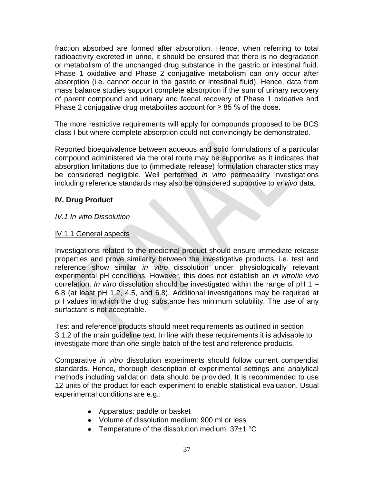fraction absorbed are formed after absorption. Hence, when referring to total radioactivity excreted in urine, it should be ensured that there is no degradation or metabolism of the unchanged drug substance in the gastric or intestinal fluid. Phase 1 oxidative and Phase 2 conjugative metabolism can only occur after absorption (i.e. cannot occur in the gastric or intestinal fluid). Hence, data from mass balance studies support complete absorption if the sum of urinary recovery of parent compound and urinary and faecal recovery of Phase 1 oxidative and Phase 2 conjugative drug metabolites account for  $\geq 85$  % of the dose.

The more restrictive requirements will apply for compounds proposed to be BCS class I but where complete absorption could not convincingly be demonstrated.

Reported bioequivalence between aqueous and solid formulations of a particular compound administered via the oral route may be supportive as it indicates that absorption limitations due to (immediate release) formulation characteristics may be considered negligible. Well performed *in vitro* permeability investigations including reference standards may also be considered supportive to *in vivo* data.

## **IV. Drug Product**

## *IV.1 In vitro Dissolution*

## IV.1.1 General aspects

Investigations related to the medicinal product should ensure immediate release properties and prove similarity between the investigative products, i.e. test and reference show similar *in vitro* dissolution under physiologically relevant experimental pH conditions. However, this does not establish an *in vitro*/*in vivo*  correlation. *In vitro* dissolution should be investigated within the range of pH 1 – 6.8 (at least pH 1.2, 4.5, and 6.8). Additional investigations may be required at pH values in which the drug substance has minimum solubility. The use of any surfactant is not acceptable.

Test and reference products should meet requirements as outlined in section 3.1.2 of the main guideline text. In line with these requirements it is advisable to investigate more than one single batch of the test and reference products.

Comparative *in vitro* dissolution experiments should follow current compendial standards. Hence, thorough description of experimental settings and analytical methods including validation data should be provided. It is recommended to use 12 units of the product for each experiment to enable statistical evaluation. Usual experimental conditions are e.g.:

- Apparatus: paddle or basket
- Volume of dissolution medium: 900 ml or less
- Temperature of the dissolution medium: 37±1 °C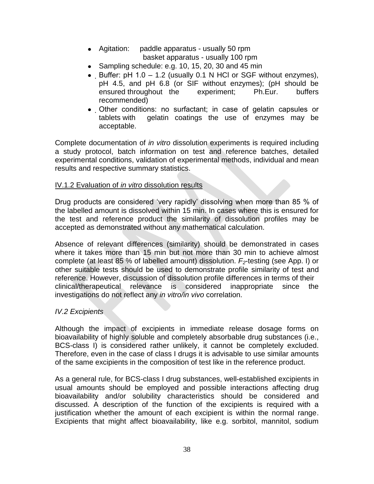- Agitation: paddle apparatus usually 50 rpm basket apparatus - usually 100 rpm
- Sampling schedule: e.g. 10, 15, 20, 30 and 45 min
- E Buffer:  $pH$  1.0 1.2 (usually 0.1 N HCl or SGF without enzymes), pH 4.5, and pH 6.8 (or SIF without enzymes); (pH should be ensured throughout the experiment; Ph.Eur. buffers recommended)
- Other conditions: no surfactant; in case of gelatin capsules or tablets with gelatin coatings the use of enzymes may be acceptable.

Complete documentation of *in vitro* dissolution experiments is required including a study protocol, batch information on test and reference batches, detailed experimental conditions, validation of experimental methods, individual and mean results and respective summary statistics.

## IV.1.2 Evaluation of *in vitro* dissolution results

Drug products are considered "very rapidly" dissolving when more than 85 % of the labelled amount is dissolved within 15 min. In cases where this is ensured for the test and reference product the similarity of dissolution profiles may be accepted as demonstrated without any mathematical calculation.

Absence of relevant differences (similarity) should be demonstrated in cases where it takes more than 15 min but not more than 30 min to achieve almost complete (at least 85 % of labelled amount) dissolution. *F2*-testing (see App. I) or other suitable tests should be used to demonstrate profile similarity of test and reference. However, discussion of dissolution profile differences in terms of their clinical/therapeutical relevance is considered inappropriate since the investigations do not reflect any *in vitro/in vivo* correlation.

## *IV.2 Excipients*

Although the impact of excipients in immediate release dosage forms on bioavailability of highly soluble and completely absorbable drug substances (i.e., BCS-class I) is considered rather unlikely, it cannot be completely excluded. Therefore, even in the case of class I drugs it is advisable to use similar amounts of the same excipients in the composition of test like in the reference product.

As a general rule, for BCS-class I drug substances, well-established excipients in usual amounts should be employed and possible interactions affecting drug bioavailability and/or solubility characteristics should be considered and discussed. A description of the function of the excipients is required with a justification whether the amount of each excipient is within the normal range. Excipients that might affect bioavailability, like e.g. sorbitol, mannitol, sodium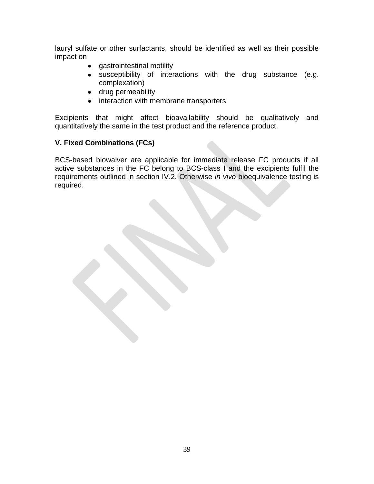lauryl sulfate or other surfactants, should be identified as well as their possible impact on

- gastrointestinal motility
- susceptibility of interactions with the drug substance (e.g. complexation)
- drug permeability
- interaction with membrane transporters

Excipients that might affect bioavailability should be qualitatively and quantitatively the same in the test product and the reference product.

# **V. Fixed Combinations (FCs)**

BCS-based biowaiver are applicable for immediate release FC products if all active substances in the FC belong to BCS-class I and the excipients fulfil the requirements outlined in section IV.2. Otherwise *in vivo* bioequivalence testing is required.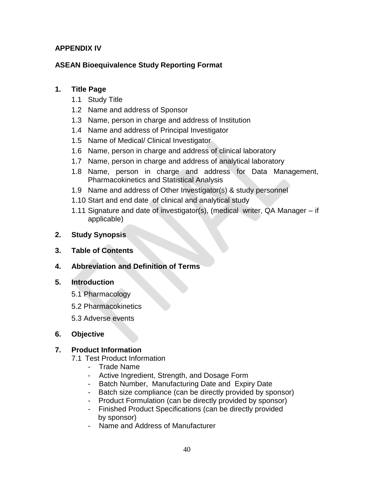# **APPENDIX IV**

# **ASEAN Bioequivalence Study Reporting Format**

## **1. Title Page**

- 1.1 Study Title
- 1.2 Name and address of Sponsor
- 1.3 Name, person in charge and address of Institution
- 1.4 Name and address of Principal Investigator
- 1.5 Name of Medical/ Clinical Investigator
- 1.6 Name, person in charge and address of clinical laboratory
- 1.7 Name, person in charge and address of analytical laboratory
- 1.8 Name, person in charge and address for Data Management, Pharmacokinetics and Statistical Analysis
- 1.9 Name and address of Other Investigator(s) & study personnel
- 1.10 Start and end date of clinical and analytical study
- 1.11 Signature and date of investigator(s), (medical writer, QA Manager if applicable)

## **2. Study Synopsis**

- **3. Table of Contents**
- **4. Abbreviation and Definition of Terms**

# **5. Introduction**

- 5.1 Pharmacology
- 5.2 Pharmacokinetics
- 5.3 Adverse events

# **6. Objective**

# **7. Product Information**

- 7.1 Test Product Information
	- Trade Name
	- Active Ingredient, Strength, and Dosage Form
	- Batch Number, Manufacturing Date and Expiry Date
	- Batch size compliance (can be directly provided by sponsor)
	- Product Formulation (can be directly provided by sponsor)
	- Finished Product Specifications (can be directly provided by sponsor)
	- Name and Address of Manufacturer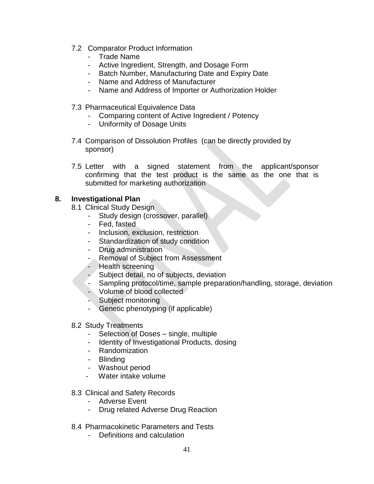- 7.2 Comparator Product Information
	- Trade Name
	- Active Ingredient, Strength, and Dosage Form
	- Batch Number, Manufacturing Date and Expiry Date
	- Name and Address of Manufacturer
	- Name and Address of Importer or Authorization Holder
- 7.3 Pharmaceutical Equivalence Data
	- Comparing content of Active Ingredient / Potency
	- Uniformity of Dosage Units
- 7.4 Comparison of Dissolution Profiles (can be directly provided by sponsor)
- 7.5 Letter with a signed statement from the applicant/sponsor confirming that the test product is the same as the one that is submitted for marketing authorization

# **8. Investigational Plan**

- 8.1 Clinical Study Design
	- Study design (crossover, parallel)
	- Fed, fasted
	- Inclusion, exclusion, restriction
	- Standardization of study condition
	- Drug administration
	- Removal of Subject from Assessment
	- Health screening
	- Subject detail, no of subjects, deviation
	- Sampling protocol/time, sample preparation/handling, storage, deviation
	- Volume of blood collected
	- Subject monitoring
	- Genetic phenotyping (if applicable)
- 8.2 Study Treatments
	- Selection of Doses single, multiple
	- Identity of Investigational Products, dosing
	- Randomization
	- Blinding
	- Washout period
	- Water intake volume
- 8.3 Clinical and Safety Records
	- Adverse Event
	- Drug related Adverse Drug Reaction
- 8.4 Pharmacokinetic Parameters and Tests
	- Definitions and calculation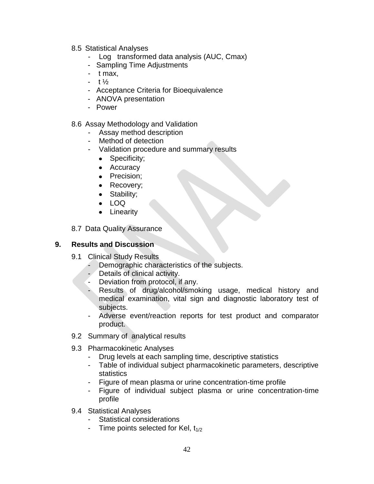- 8.5 Statistical Analyses
	- Log transformed data analysis (AUC, Cmax)
	- Sampling Time Adjustments
	- t max,
	- $-1\frac{1}{2}$
	- Acceptance Criteria for Bioequivalence
	- ANOVA presentation
	- Power

#### 8.6 Assay Methodology and Validation

- Assay method description
- Method of detection
- Validation procedure and summary results
	- Specificity;
	- Accuracy
	- Precision;
	- Recovery;
	- Stability;
	- LOQ
	- Linearity
- 8.7 Data Quality Assurance

#### **9. Results and Discussion**

- 9.1 Clinical Study Results
	- Demographic characteristics of the subjects.
	- Details of clinical activity.
	- Deviation from protocol, if any.
	- Results of drug/alcohol/smoking usage, medical history and medical examination, vital sign and diagnostic laboratory test of subjects.
	- Adverse event/reaction reports for test product and comparator product.
- 9.2 Summary of analytical results
- 9.3 Pharmacokinetic Analyses
	- Drug levels at each sampling time, descriptive statistics
	- Table of individual subject pharmacokinetic parameters, descriptive statistics
	- Figure of mean plasma or urine concentration-time profile
	- Figure of individual subject plasma or urine concentration-time profile
- 9.4 Statistical Analyses
	- Statistical considerations
	- Time points selected for Kel,  $t_{1/2}$